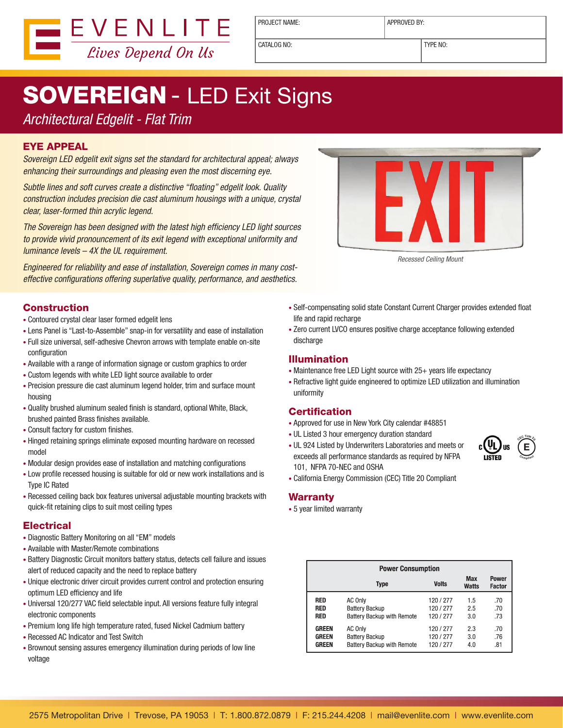

PROJECT NAME: <br> APPROVED BY:

CATALOG NO: TYPE NO:

# **SOVEREIGN - LED Exit Signs**

### *Architectural Edgelit - Flat Trim*

#### EYE APPEAL

*Sovereign LED edgelit exit signs set the standard for architectural appeal; always enhancing their surroundings and pleasing even the most discerning eye.*

*Subtle lines and soft curves create a distinctive "floating" edgelit look. Quality construction includes precision die cast aluminum housings with a unique, crystal clear, laser-formed thin acrylic legend.*

*The Sovereign has been designed with the latest high efficiency LED light sources to provide vivid pronouncement of its exit legend with exceptional uniformity and luminance levels – 4X the UL requirement.* 

*Engineered for reliability and ease of installation, Sovereign comes in many costeffective configurations offering superlative quality, performance, and aesthetics.*

#### Construction

- Contoured crystal clear laser formed edgelit lens
- Lens Panel is "Last-to-Assemble" snap-in for versatility and ease of installation
- Full size universal, self-adhesive Chevron arrows with template enable on-site configuration
- Available with a range of information signage or custom graphics to order
- Custom legends with white LED light source available to order
- Precision pressure die cast aluminum legend holder, trim and surface mount housing
- Quality brushed aluminum sealed finish is standard, optional White, Black, brushed painted Brass finishes available.
- Consult factory for custom finishes.
- Hinged retaining springs eliminate exposed mounting hardware on recessed model
- Modular design provides ease of installation and matching configurations
- Low profile recessed housing is suitable for old or new work installations and is Type IC Rated
- Recessed ceiling back box features universal adjustable mounting brackets with quick-fit retaining clips to suit most ceiling types

#### **Electrical**

- Diagnostic Battery Monitoring on all "EM" models
- Available with Master/Remote combinations
- Battery Diagnostic Circuit monitors battery status, detects cell failure and issues alert of reduced capacity and the need to replace battery
- Unique electronic driver circuit provides current control and protection ensuring optimum LED efficiency and life
- Universal 120/277 VAC field selectable input. All versions feature fully integral electronic components
- Premium long life high temperature rated, fused Nickel Cadmium battery
- Recessed AC Indicator and Test Switch
- Brownout sensing assures emergency illumination during periods of low line voltage



- Self-compensating solid state Constant Current Charger provides extended float life and rapid recharge
- Zero current LVCO ensures positive charge acceptance following extended discharge

#### Illumination

- Maintenance free LED Light source with 25+ years life expectancy
- Refractive light guide engineered to optimize LED utilization and illumination uniformity

#### **Certification**

- Approved for use in New York City calendar #48851
- UL Listed 3 hour emergency duration standard
- UL 924 Listed by Underwriters Laboratories and meets or exceeds all performance standards as required by NFPA 101, NFPA 70-NEC and OSHA



• California Energy Commission (CEC) Title 20 Compliant

#### Warranty

• 5 year limited warranty

|              | <b>Power Consumption</b>          |              |              |                        |  |  |  |  |  |
|--------------|-----------------------------------|--------------|--------------|------------------------|--|--|--|--|--|
|              | Type                              | <b>Volts</b> | Max<br>Watts | Power<br><b>Factor</b> |  |  |  |  |  |
| RED          | AC Only                           | 120 / 277    | 1.5          | .70                    |  |  |  |  |  |
| RED          | <b>Battery Backup</b>             | 120 / 277    | 2.5          | .70                    |  |  |  |  |  |
| <b>RED</b>   | <b>Battery Backup with Remote</b> | 120/277      | 3.0          | .73                    |  |  |  |  |  |
| <b>GREEN</b> | AC Only                           | 120 / 277    | 2.3          | .70                    |  |  |  |  |  |
| <b>GREEN</b> | <b>Battery Backup</b>             | 120 / 277    | 3.0          | .76                    |  |  |  |  |  |
| <b>GREEN</b> | <b>Battery Backup with Remote</b> | 120/277      | 4.0          | .81                    |  |  |  |  |  |